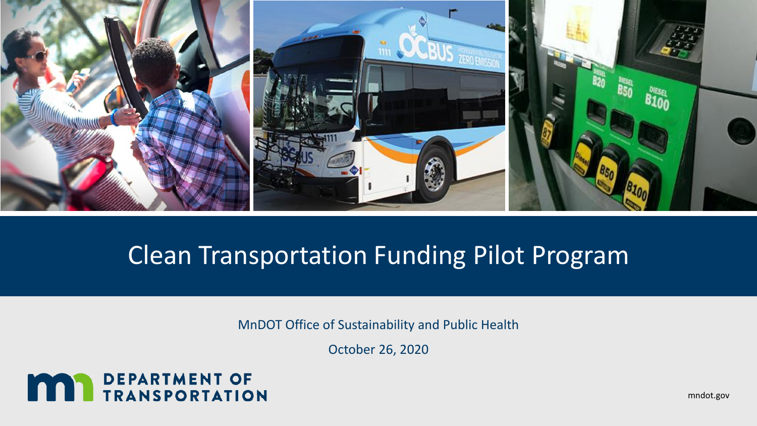

## Clean Transportation Funding Pilot Program

MnDOT Office of Sustainability and Public Health

October 26, 2020



mndot.gov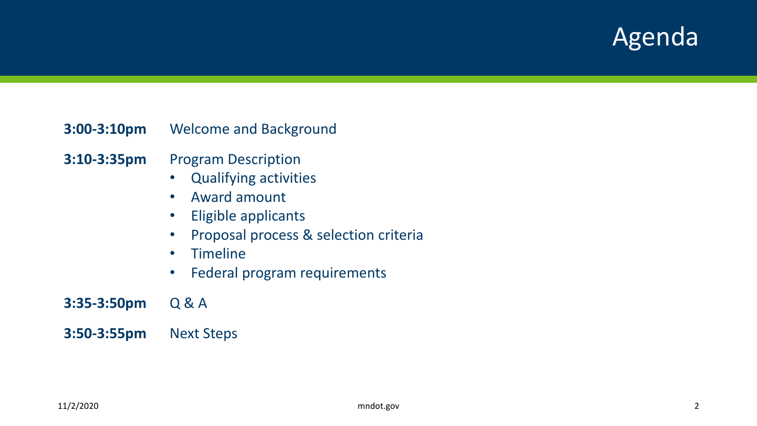## Agenda

#### **3:00-3:10pm** Welcome and Background

#### **3:10-3:35pm** Program Description

- Qualifying activities
- Award amount
- Eligible applicants
- Proposal process & selection criteria
- Timeline
- Federal program requirements

#### **3:35-3:50pm** Q & A

**3:50-3:55pm** Next Steps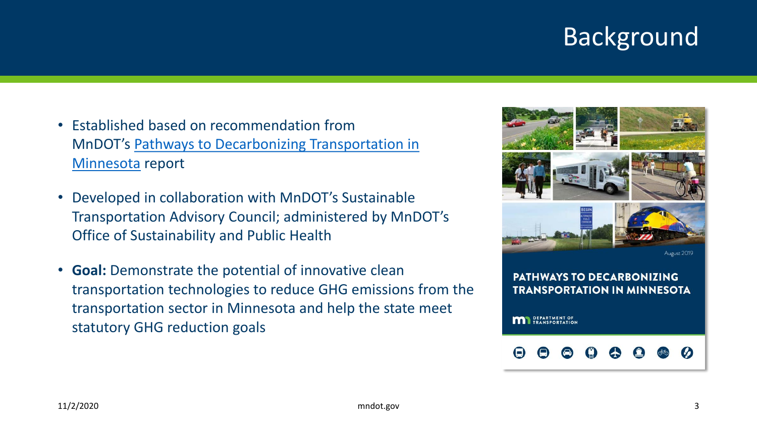## Background

- Established based on recommendation from MnDOT's [Pathways to Decarbonizing Transportation in](https://www.dot.state.mn.us/sustainability/docs/pathways-report-2019.pdf)  Minnesota report
- Developed in collaboration with MnDOT's Sustainable Transportation Advisory Council; administered by MnDOT's Office of Sustainability and Public Health
- **Goal:** Demonstrate the potential of innovative clean transportation technologies to reduce GHG emissions from the transportation sector in Minnesota and help the state meet statutory GHG reduction goals



**TRANSPORTATION IN MINNESOTA** 

**THE DEPARTMENT OF**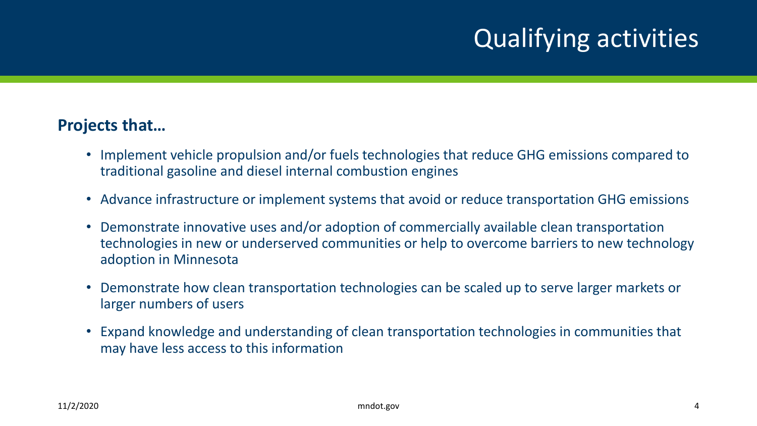## Qualifying activities

#### **Projects that…**

- Implement vehicle propulsion and/or fuels technologies that reduce GHG emissions compared to traditional gasoline and diesel internal combustion engines
- Advance infrastructure or implement systems that avoid or reduce transportation GHG emissions
- Demonstrate innovative uses and/or adoption of commercially available clean transportation technologies in new or underserved communities or help to overcome barriers to new technology adoption in Minnesota
- Demonstrate how clean transportation technologies can be scaled up to serve larger markets or larger numbers of users
- Expand knowledge and understanding of clean transportation technologies in communities that may have less access to this information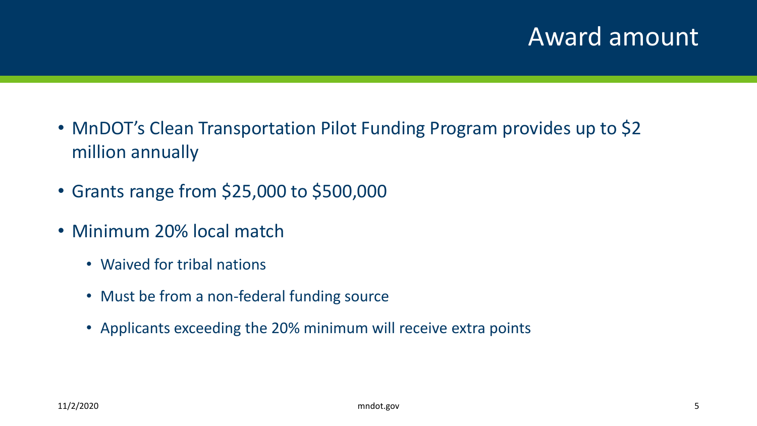## Award amount

- MnDOT's Clean Transportation Pilot Funding Program provides up to \$2 million annually
- Grants range from \$25,000 to \$500,000
- Minimum 20% local match
	- Waived for tribal nations
	- Must be from a non-federal funding source
	- Applicants exceeding the 20% minimum will receive extra points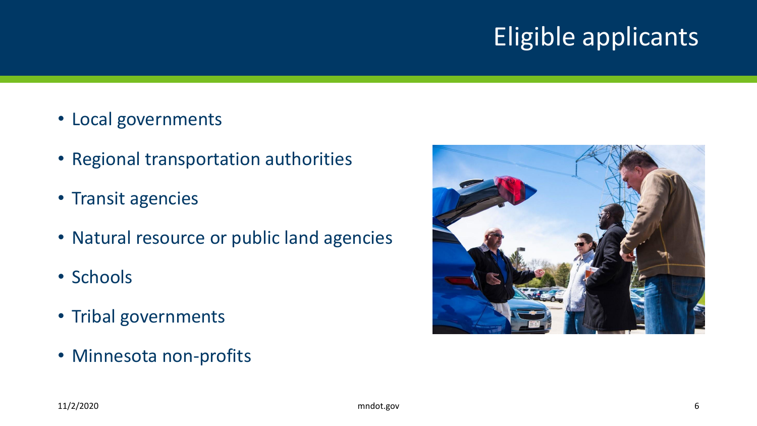## Eligible applicants

- Local governments
- Regional transportation authorities
- Transit agencies
- Natural resource or public land agencies
- Schools
- Tribal governments
- Minnesota non-profits

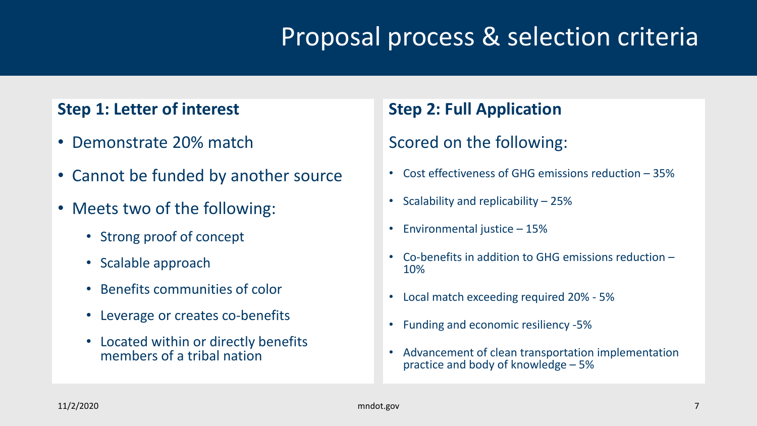## Proposal process & selection criteria

#### **Step 1: Letter of interest**

- Demonstrate 20% match
- Cannot be funded by another source
- Meets two of the following:
	- Strong proof of concept
	- Scalable approach
	- Benefits communities of color
	- Leverage or creates co-benefits
	- Located within or directly benefits members of a tribal nation

#### **Step 2: Full Application**

#### Scored on the following:

- Cost effectiveness of GHG emissions reduction 35%
- Scalability and replicability 25%
- Environmental justice 15%
- Co-benefits in addition to GHG emissions reduction 10%
- Local match exceeding required 20% 5%
- Funding and economic resiliency -5%
- Advancement of clean transportation implementation practice and body of knowledge – 5%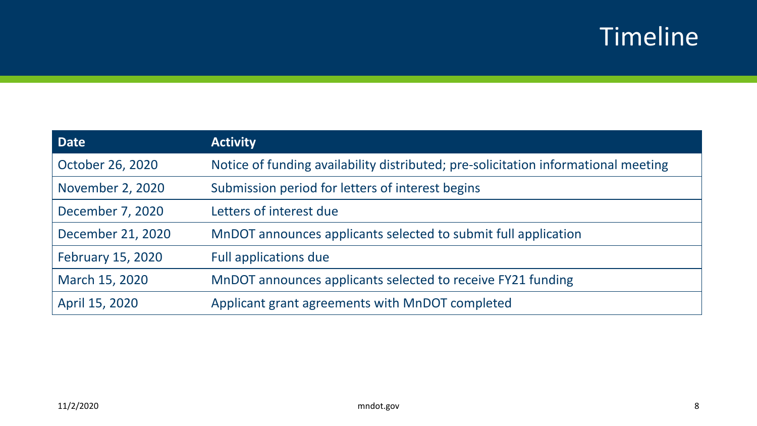## Timeline

| <b>Date</b>              | <b>Activity</b>                                                                    |
|--------------------------|------------------------------------------------------------------------------------|
| October 26, 2020         | Notice of funding availability distributed; pre-solicitation informational meeting |
| November 2, 2020         | Submission period for letters of interest begins                                   |
| December 7, 2020         | Letters of interest due                                                            |
| December 21, 2020        | MnDOT announces applicants selected to submit full application                     |
| <b>February 15, 2020</b> | <b>Full applications due</b>                                                       |
| March 15, 2020           | MnDOT announces applicants selected to receive FY21 funding                        |
| April 15, 2020           | Applicant grant agreements with MnDOT completed                                    |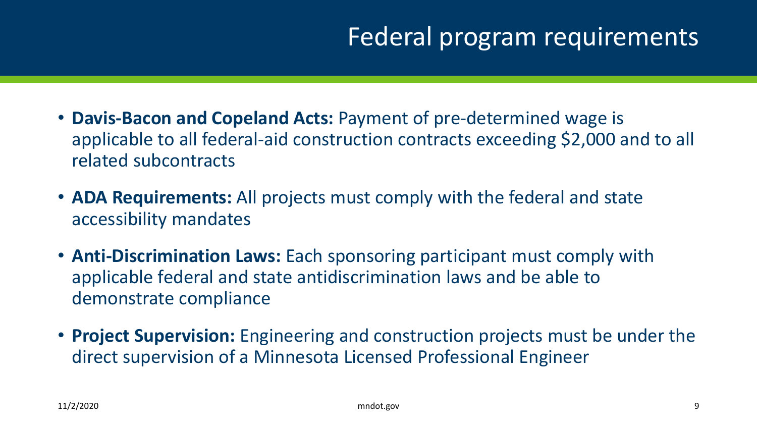## Federal program requirements

- **Davis-Bacon and Copeland Acts:** Payment of pre-determined wage is applicable to all federal-aid construction contracts exceeding \$2,000 and to all related subcontracts
- **ADA Requirements:** All projects must comply with the federal and state accessibility mandates
- **Anti-Discrimination Laws:** Each sponsoring participant must comply with applicable federal and state antidiscrimination laws and be able to demonstrate compliance
- **Project Supervision:** Engineering and construction projects must be under the direct supervision of a Minnesota Licensed Professional Engineer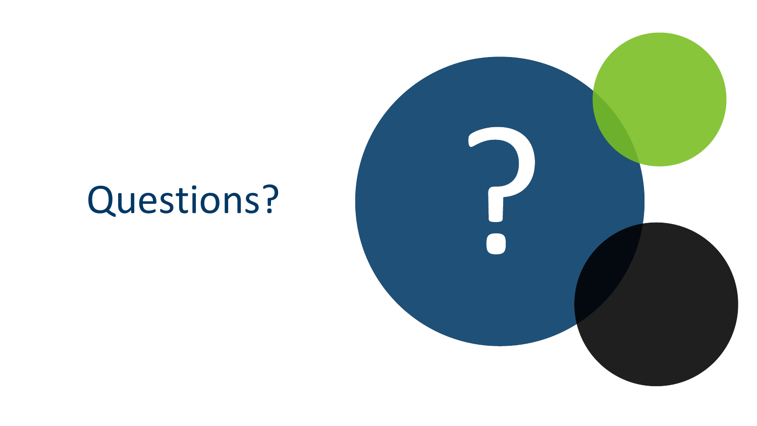## Questions?

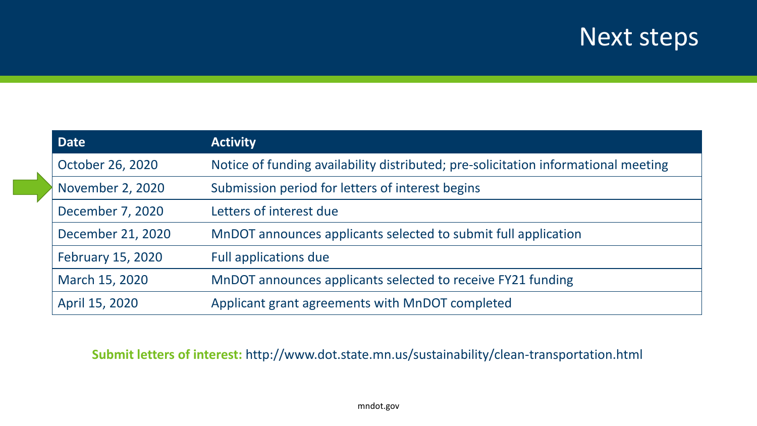### Next steps

| <b>Date</b>              | <b>Activity</b>                                                                    |
|--------------------------|------------------------------------------------------------------------------------|
| October 26, 2020         | Notice of funding availability distributed; pre-solicitation informational meeting |
| November 2, 2020         | Submission period for letters of interest begins                                   |
| December 7, 2020         | Letters of interest due                                                            |
| December 21, 2020        | MnDOT announces applicants selected to submit full application                     |
| <b>February 15, 2020</b> | <b>Full applications due</b>                                                       |
| March 15, 2020           | MnDOT announces applicants selected to receive FY21 funding                        |
| April 15, 2020           | Applicant grant agreements with MnDOT completed                                    |

#### **Submit letters of interest:** http://www.dot.state.mn.us/sustainability/clean-transportation.html